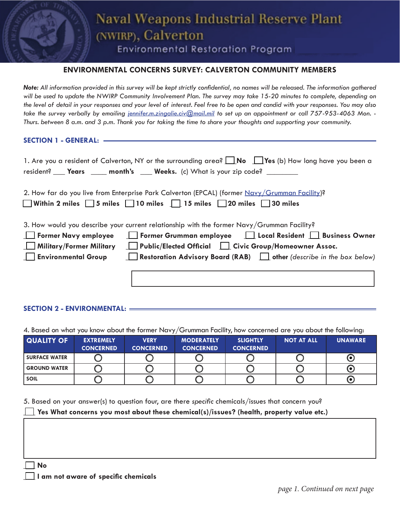# **Naval Weapons Industrial Reserve Plant** (NWIRP), Calverton

**Environmental Restoration Program** 

# **ENVIRONMENTAL CONCERNS SURVEY: CALVERTON COMMUNITY MEMBERS**

*Note: All information provided in this survey will be kept strictly confidential, no names will be released. The information gathered will be used to update the NWIRP Community Involvement Plan. The survey may take 15-20 minutes to complete, depending on the level of detail in your responses and your level of interest. Feel free to be open and candid with your responses. You may also*  take the survey verbally by emailing *[jennifer.m.zingalie.civ@mail.mil](mailto:jennifer.m.zingalie.civ%40mail.mil?subject=SURVEY%20APPT%20REQUEST)* to set up an appointment or call 757-953-4063 Mon. -*Thurs. between 8 a.m. and 3 p.m. Thank you for taking the time to share your thoughts and supporting your community.*

**SECTION 1 - GENERAL:**

| 1. Are you a resident of Calverton, NY or the surrounding area? $\Box$ No $\Box$ Yes (b) How long have you been a<br>resident? ___ Years ____ month's ___ Weeks. (c) What is your zip code? ______                                                                                                                                                                                            |
|-----------------------------------------------------------------------------------------------------------------------------------------------------------------------------------------------------------------------------------------------------------------------------------------------------------------------------------------------------------------------------------------------|
| 2. How far do you live from Enterprise Park Calverton (EPCAL) (former Navy/Grumman Facility)?<br>■ Within 2 miles ■ 5 miles ■ 10 miles ■ 15 miles ■ 20 miles ■ 30 miles                                                                                                                                                                                                                       |
| 3. How would you describe your current relationship with the former Navy/Grumman Facility?<br>Former Grumman employee   Local Resident   Business Owner<br><b>Former Navy employee</b><br><b>Public/Elected Official </b> Civic Group/Homeowner Assoc.<br>Military/Former Military<br>Restoration Advisory Board (RAB) $\Box$ other (describe in the box below)<br><b>Environmental Group</b> |
|                                                                                                                                                                                                                                                                                                                                                                                               |

### **SECTION 2 - ENVIRONMENTAL:**

4. Based on what you know about the former Navy/Grumman Facility, how concerned are you about the following:

| <b>QUALITY OF</b>    | <b>EXTREMELY</b><br><b>CONCERNED</b> | <b>VERY</b><br><b>CONCERNED</b> | <b>MODERATELY</b><br><b>CONCERNED</b> | <b>SLIGHTLY</b><br><b>CONCERNED</b> | <b>NOT AT ALL</b> | <b>UNAWARE</b> |
|----------------------|--------------------------------------|---------------------------------|---------------------------------------|-------------------------------------|-------------------|----------------|
| <b>SURFACE WATER</b> |                                      |                                 |                                       |                                     |                   | ( O )          |
| <b>GROUND WATER</b>  |                                      |                                 |                                       |                                     |                   | (●)            |
| <b>SOIL</b>          |                                      |                                 |                                       |                                     |                   | (0)            |

5. Based on your answer(s) to question four, are there *specific* chemicals/issues that concern you?

#### Yes What concerns you most about these chemical(s)/issues? (health, property value etc.)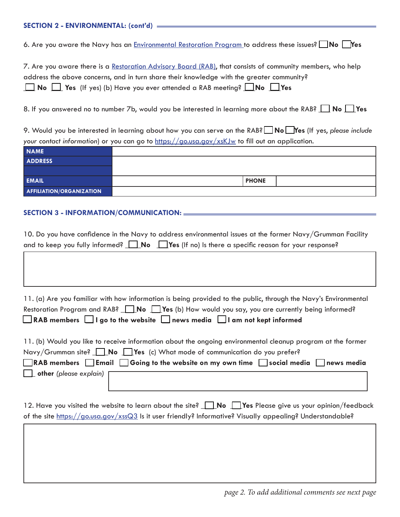6. Are you aware the Navy has an [Environmental Restoration Program](https://www.navfac.navy.mil/products_and_services/ev/products_and_services/env_restoration.html) to address these issues? **\_\_ No \_\_Yes**

7. Are you aware there is a [Restoration Advisory Board \(RAB\)](https://www.navfac.navy.mil/navfac_worldwide/pacific/fecs/southwest/about_us/our_services/Environmental/restoration/rab.html), that consists of community members, who help address the above concerns, and in turn share their knowledge with the greater community? **\_\_\_ No \_\_\_ Yes** (If yes) (b) Have you ever attended a RAB meeting? **\_\_\_No \_\_\_Yes**

8. If you answered no to number 7b, would you be interested in learning more about the RAB? **4 No A** Yes

9. Would you be interested in learning about how you can serve on the RAB? **\_\_ No \_\_Yes** (If yes, *please include your contact information*) or you can go to<https://go.usa.gov/xsKJw> to fill out an application.

| <b>NAME</b>              |              |  |
|--------------------------|--------------|--|
| <b>ADDRESS</b>           |              |  |
|                          |              |  |
| <b>EMAIL</b>             | <b>PHONE</b> |  |
| AFFILIATION/ORGANIZATION |              |  |

# **SECTION 3 - INFORMATION/COMMUNICATION:**

| 10. Do you have confidence in the Navy to address environmental issues at the former Navy/Grumman Facility |
|------------------------------------------------------------------------------------------------------------|
| and to keep you fully informed? $\Box$ No $\Box$ Yes (If no) is there a specific reason for your response? |

| 11. (a) Are you familiar with how information is being provided to the public, through the Navy's Environmental |
|-----------------------------------------------------------------------------------------------------------------|
| Restoration Program and RAB? $\Box$ No $\Box$ Yes (b) How would you say, you are currently being informed?      |
| $\Box$ RAB members $\Box$ I go to the website $\Box$ news media $\Box$ I am not kept informed                   |
|                                                                                                                 |

| 11. (b) Would you like to receive information about the ongoing environmental cleanup program at the former |  |  |  |  |
|-------------------------------------------------------------------------------------------------------------|--|--|--|--|
| Navy/Grumman site? $\Box$ No $\Box$ Yes (c) What mode of communication do you prefer?                       |  |  |  |  |
| ■RAB members ■ Email ■ Going to the website on my own time ■ social media ■ news media                      |  |  |  |  |
| $\Box$ other (please explain)                                                                               |  |  |  |  |

12. Have you visited the website to learn about the site? **No Pres** Please give us your opinion/feedback of the site <https://go.usa.gov/xssQ3>Is it user friendly? Informative? Visually appealing? Understandable?